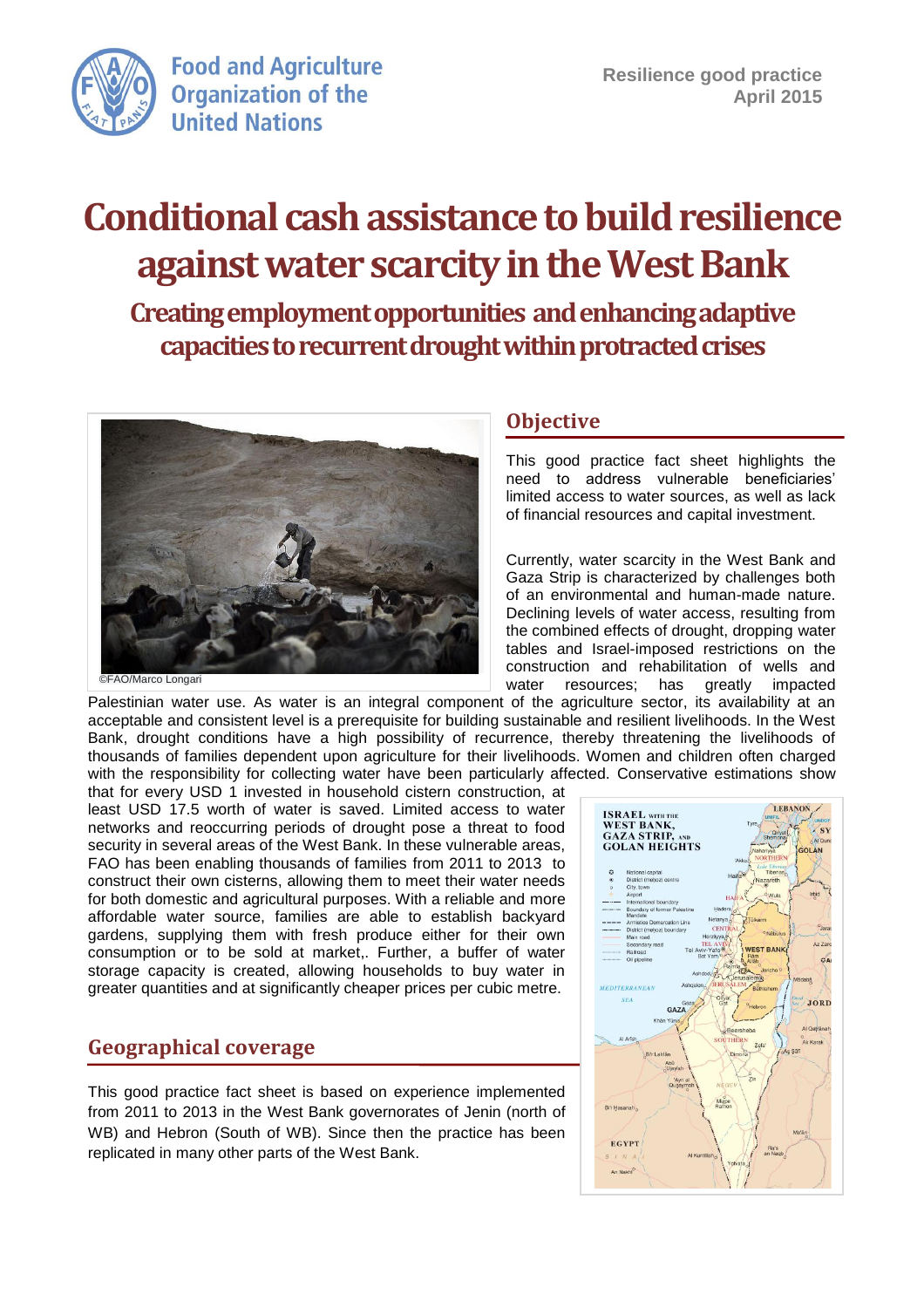

**Food and Agriculture Organization of the United Nations** 

# **Conditional cash assistance to build resilience against water scarcity in the West Bank**

**Creating employment opportunities and enhancing adaptive capacities to recurrent drought within protracted crises**



#### **Objective**

This good practice fact sheet highlights the need to address vulnerable beneficiaries' limited access to water sources, as well as lack of financial resources and capital investment.

Currently, water scarcity in the West Bank and Gaza Strip is characterized by challenges both of an environmental and human-made nature. Declining levels of water access, resulting from the combined effects of drought, dropping water tables and Israel-imposed restrictions on the construction and rehabilitation of wells and water resources; has greatly

Palestinian water use. As water is an integral component of the agriculture sector, its availability at an acceptable and consistent level is a prerequisite for building sustainable and resilient livelihoods. In the West Bank, drought conditions have a high possibility of recurrence, thereby threatening the livelihoods of thousands of families dependent upon agriculture for their livelihoods. Women and children often charged with the responsibility for collecting water have been particularly affected. Conservative estimations show that for every USD 1 invested in household cistern construction, at

least USD 17.5 worth of water is saved. Limited access to water networks and reoccurring periods of drought pose a threat to food security in several areas of the West Bank. In these vulnerable areas, FAO has been enabling thousands of families from 2011 to 2013 to construct their own cisterns, allowing them to meet their water needs for both domestic and agricultural purposes. With a reliable and more affordable water source, families are able to establish backyard gardens, supplying them with fresh produce either for their own consumption or to be sold at market,. Further, a buffer of water storage capacity is created, allowing households to buy water in greater quantities and at significantly cheaper prices per cubic metre.

# **Geographical coverage**

This good practice fact sheet is based on experience implemented from 2011 to 2013 in the West Bank governorates of Jenin (north of WB) and Hebron (South of WB). Since then the practice has been replicated in many other parts of the West Bank.

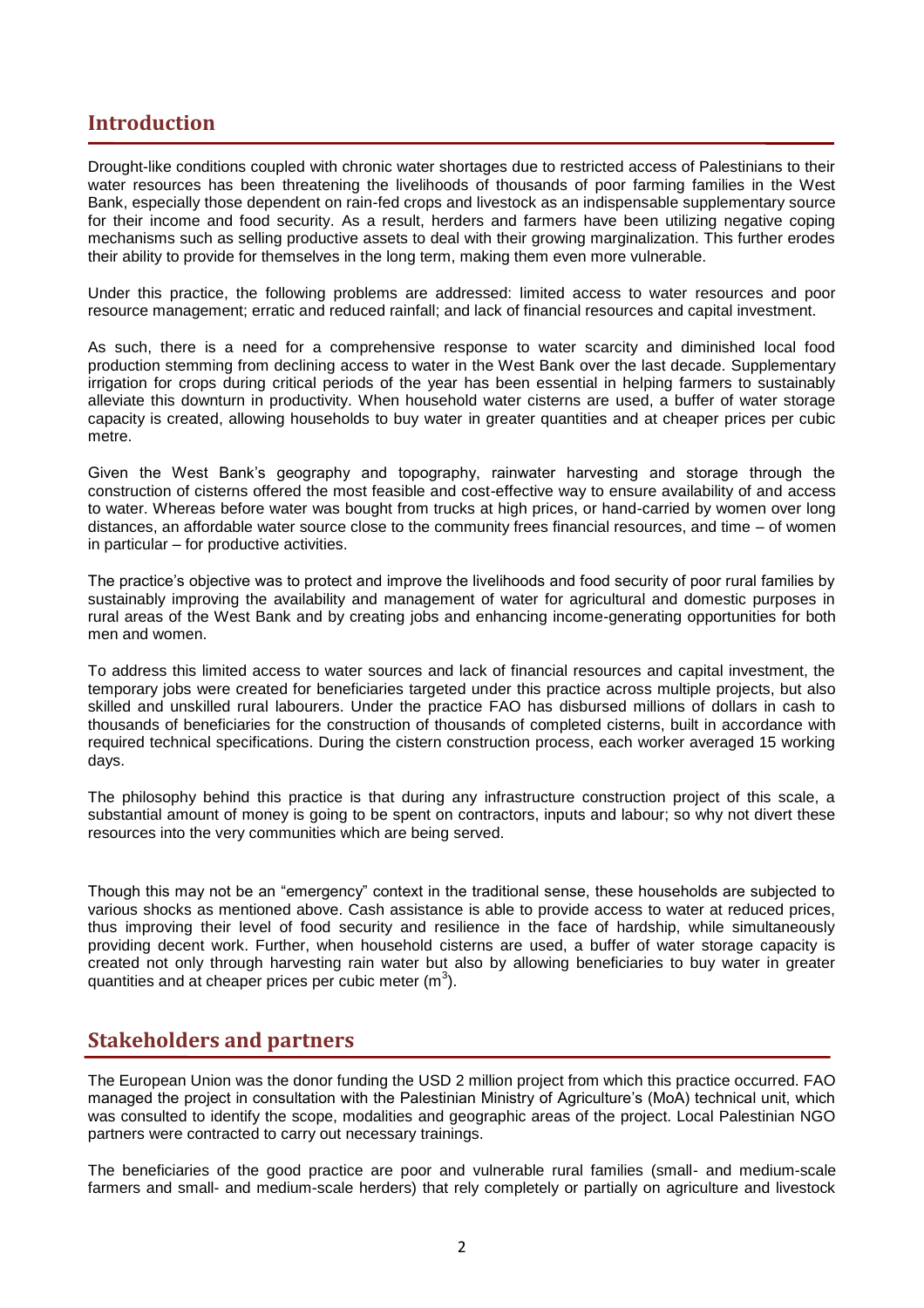### **Introduction**

Drought-like conditions coupled with chronic water shortages due to restricted access of Palestinians to their water resources has been threatening the livelihoods of thousands of poor farming families in the West Bank, especially those dependent on rain-fed crops and livestock as an indispensable supplementary source for their income and food security. As a result, herders and farmers have been utilizing negative coping mechanisms such as selling productive assets to deal with their growing marginalization. This further erodes their ability to provide for themselves in the long term, making them even more vulnerable.

Under this practice, the following problems are addressed: limited access to water resources and poor resource management; erratic and reduced rainfall; and lack of financial resources and capital investment.

As such, there is a need for a comprehensive response to water scarcity and diminished local food production stemming from declining access to water in the West Bank over the last decade. Supplementary irrigation for crops during critical periods of the year has been essential in helping farmers to sustainably alleviate this downturn in productivity. When household water cisterns are used, a buffer of water storage capacity is created, allowing households to buy water in greater quantities and at cheaper prices per cubic metre.

Given the West Bank's geography and topography, rainwater harvesting and storage through the construction of cisterns offered the most feasible and cost-effective way to ensure availability of and access to water. Whereas before water was bought from trucks at high prices, or hand-carried by women over long distances, an affordable water source close to the community frees financial resources, and time – of women in particular – for productive activities.

The practice's objective was to protect and improve the livelihoods and food security of poor rural families by sustainably improving the availability and management of water for agricultural and domestic purposes in rural areas of the West Bank and by creating jobs and enhancing income-generating opportunities for both men and women.

To address this limited access to water sources and lack of financial resources and capital investment, the temporary jobs were created for beneficiaries targeted under this practice across multiple projects, but also skilled and unskilled rural labourers. Under the practice FAO has disbursed millions of dollars in cash to thousands of beneficiaries for the construction of thousands of completed cisterns, built in accordance with required technical specifications. During the cistern construction process, each worker averaged 15 working days.

The philosophy behind this practice is that during any infrastructure construction project of this scale, a substantial amount of money is going to be spent on contractors, inputs and labour; so why not divert these resources into the very communities which are being served.

Though this may not be an "emergency" context in the traditional sense, these households are subjected to various shocks as mentioned above. Cash assistance is able to provide access to water at reduced prices, thus improving their level of food security and resilience in the face of hardship, while simultaneously providing decent work. Further, when household cisterns are used, a buffer of water storage capacity is created not only through harvesting rain water but also by allowing beneficiaries to buy water in greater quantities and at cheaper prices per cubic meter  $(m^3)$ .

# **Stakeholders and partners**

The European Union was the donor funding the USD 2 million project from which this practice occurred. FAO managed the project in consultation with the Palestinian Ministry of Agriculture's (MoA) technical unit, which was consulted to identify the scope, modalities and geographic areas of the project. Local Palestinian NGO partners were contracted to carry out necessary trainings.

The beneficiaries of the good practice are poor and vulnerable rural families (small- and medium-scale farmers and small- and medium-scale herders) that rely completely or partially on agriculture and livestock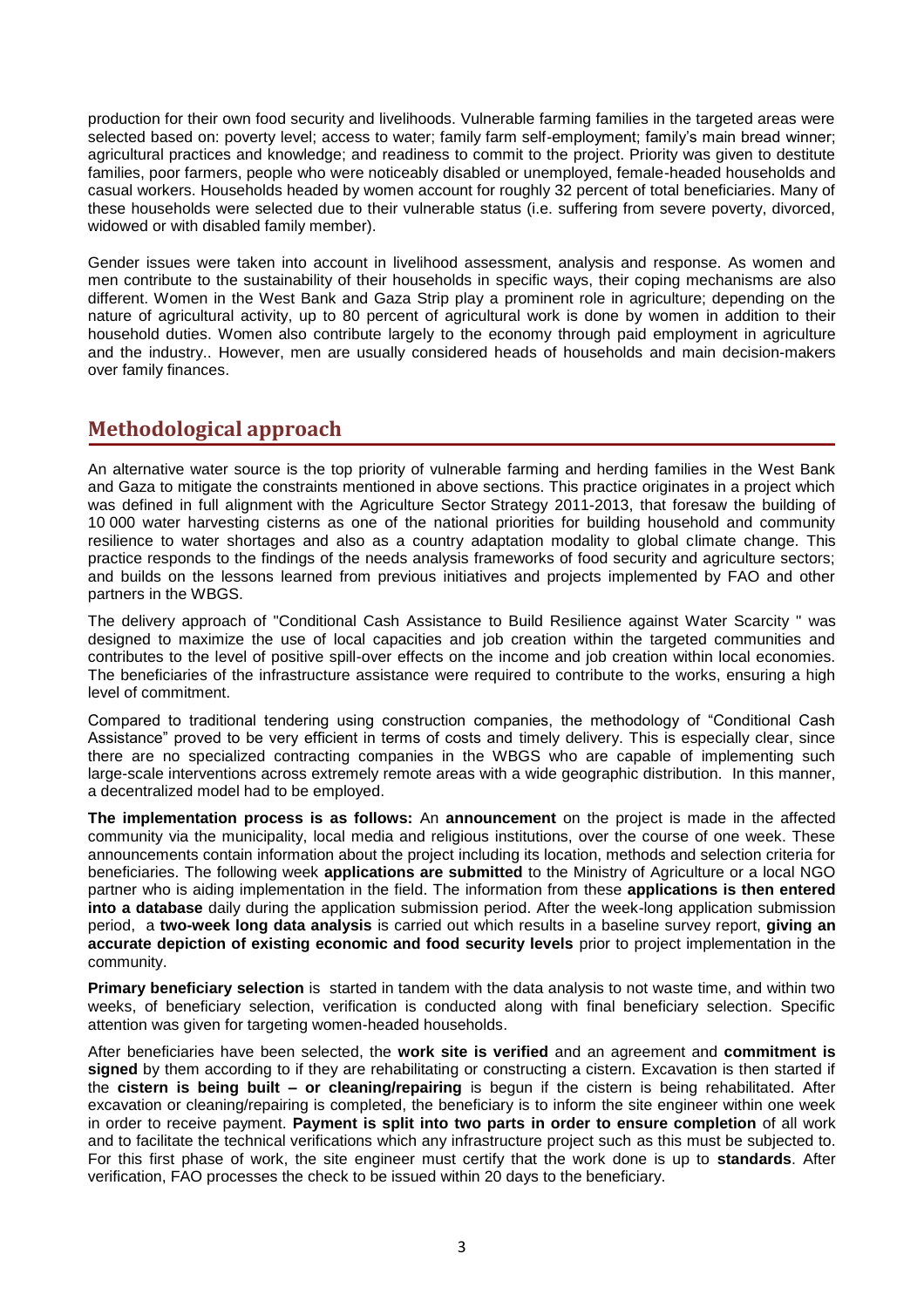production for their own food security and livelihoods. Vulnerable farming families in the targeted areas were selected based on: poverty level; access to water; family farm self-employment; family's main bread winner; agricultural practices and knowledge; and readiness to commit to the project. Priority was given to destitute families, poor farmers, people who were noticeably disabled or unemployed, female-headed households and casual workers. Households headed by women account for roughly 32 percent of total beneficiaries. Many of these households were selected due to their vulnerable status (i.e. suffering from severe poverty, divorced, widowed or with disabled family member).

Gender issues were taken into account in livelihood assessment, analysis and response. As women and men contribute to the sustainability of their households in specific ways, their coping mechanisms are also different. Women in the West Bank and Gaza Strip play a prominent role in agriculture; depending on the nature of agricultural activity, up to 80 percent of agricultural work is done by women in addition to their household duties. Women also contribute largely to the economy through paid employment in agriculture and the industry.. However, men are usually considered heads of households and main decision-makers over family finances.

# **Methodological approach**

An alternative water source is the top priority of vulnerable farming and herding families in the West Bank and Gaza to mitigate the constraints mentioned in above sections. This practice originates in a project which was defined in full alignment with the Agriculture Sector Strategy 2011-2013, that foresaw the building of 10 000 water harvesting cisterns as one of the national priorities for building household and community resilience to water shortages and also as a country adaptation modality to global climate change. This practice responds to the findings of the needs analysis frameworks of food security and agriculture sectors; and builds on the lessons learned from previous initiatives and projects implemented by FAO and other partners in the WBGS.

The delivery approach of "Conditional Cash Assistance to Build Resilience against Water Scarcity " was designed to maximize the use of local capacities and job creation within the targeted communities and contributes to the level of positive spill-over effects on the income and job creation within local economies. The beneficiaries of the infrastructure assistance were required to contribute to the works, ensuring a high level of commitment.

Compared to traditional tendering using construction companies, the methodology of "Conditional Cash Assistance" proved to be very efficient in terms of costs and timely delivery. This is especially clear, since there are no specialized contracting companies in the WBGS who are capable of implementing such large-scale interventions across extremely remote areas with a wide geographic distribution. In this manner, a decentralized model had to be employed.

**The implementation process is as follows:** An **announcement** on the project is made in the affected community via the municipality, local media and religious institutions, over the course of one week. These announcements contain information about the project including its location, methods and selection criteria for beneficiaries. The following week **applications are submitted** to the Ministry of Agriculture or a local NGO partner who is aiding implementation in the field. The information from these **applications is then entered into a database** daily during the application submission period. After the week-long application submission period, a **two-week long data analysis** is carried out which results in a baseline survey report, **giving an accurate depiction of existing economic and food security levels** prior to project implementation in the community.

**Primary beneficiary selection** is started in tandem with the data analysis to not waste time, and within two weeks, of beneficiary selection, verification is conducted along with final beneficiary selection. Specific attention was given for targeting women-headed households.

After beneficiaries have been selected, the **work site is verified** and an agreement and **commitment is signed** by them according to if they are rehabilitating or constructing a cistern. Excavation is then started if the **cistern is being built – or cleaning/repairing** is begun if the cistern is being rehabilitated. After excavation or cleaning/repairing is completed, the beneficiary is to inform the site engineer within one week in order to receive payment. **Payment is split into two parts in order to ensure completion** of all work and to facilitate the technical verifications which any infrastructure project such as this must be subjected to. For this first phase of work, the site engineer must certify that the work done is up to **standards**. After verification, FAO processes the check to be issued within 20 days to the beneficiary.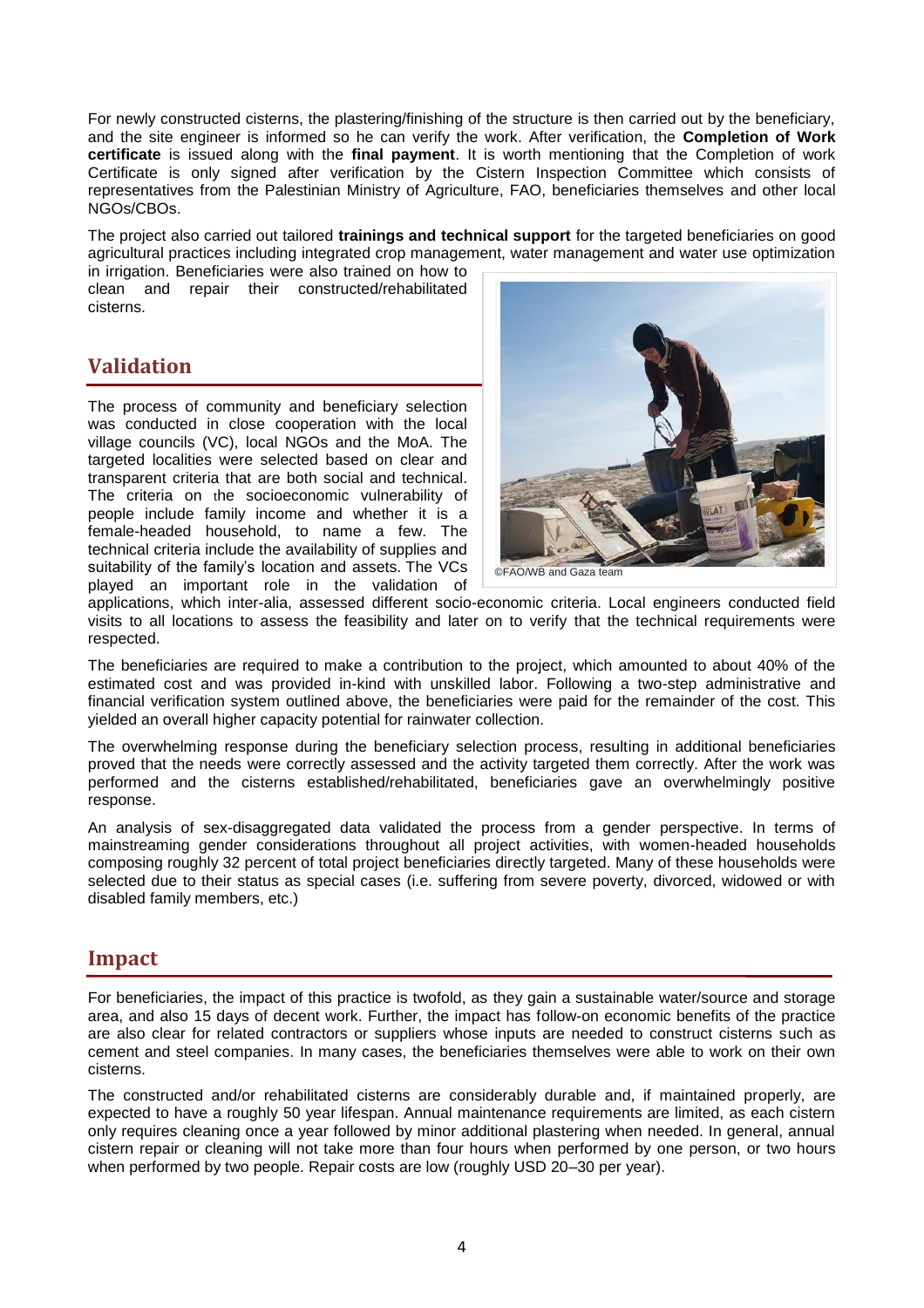For newly constructed cisterns, the plastering/finishing of the structure is then carried out by the beneficiary, and the site engineer is informed so he can verify the work. After verification, the **Completion of Work certificate** is issued along with the **final payment**. It is worth mentioning that the Completion of work Certificate is only signed after verification by the Cistern Inspection Committee which consists of representatives from the Palestinian Ministry of Agriculture, FAO, beneficiaries themselves and other local NGOs/CBOs.

The project also carried out tailored **trainings and technical support** for the targeted beneficiaries on good agricultural practices including integrated crop management, water management and water use optimization

in irrigation. Beneficiaries were also trained on how to clean and repair their constructed/rehabilitated cisterns.

# **Validation**

The process of community and beneficiary selection was conducted in close cooperation with the local village councils (VC), local NGOs and the MoA. The targeted localities were selected based on clear and transparent criteria that are both social and technical. The criteria on the socioeconomic vulnerability of people include family income and whether it is a female-headed household, to name a few. The technical criteria include the availability of supplies and suitability of the family's location and assets. The VCs played an important role in the validation of



©FAO/WB and Gaza team

applications, which inter-alia, assessed different socio-economic criteria. Local engineers conducted field visits to all locations to assess the feasibility and later on to verify that the technical requirements were respected.

The beneficiaries are required to make a contribution to the project, which amounted to about 40% of the estimated cost and was provided in-kind with unskilled labor. Following a two-step administrative and financial verification system outlined above, the beneficiaries were paid for the remainder of the cost. This yielded an overall higher capacity potential for rainwater collection.

The overwhelming response during the beneficiary selection process, resulting in additional beneficiaries proved that the needs were correctly assessed and the activity targeted them correctly. After the work was performed and the cisterns established/rehabilitated, beneficiaries gave an overwhelmingly positive response.

An analysis of sex-disaggregated data validated the process from a gender perspective. In terms of mainstreaming gender considerations throughout all project activities, with women-headed households composing roughly 32 percent of total project beneficiaries directly targeted. Many of these households were selected due to their status as special cases (i.e. suffering from severe poverty, divorced, widowed or with disabled family members, etc.)

# **Impact**

For beneficiaries, the impact of this practice is twofold, as they gain a sustainable water/source and storage area, and also 15 days of decent work. Further, the impact has follow-on economic benefits of the practice are also clear for related contractors or suppliers whose inputs are needed to construct cisterns such as cement and steel companies. In many cases, the beneficiaries themselves were able to work on their own cisterns.

The constructed and/or rehabilitated cisterns are considerably durable and, if maintained properly, are expected to have a roughly 50 year lifespan. Annual maintenance requirements are limited, as each cistern only requires cleaning once a year followed by minor additional plastering when needed. In general, annual cistern repair or cleaning will not take more than four hours when performed by one person, or two hours when performed by two people. Repair costs are low (roughly USD 20–30 per year).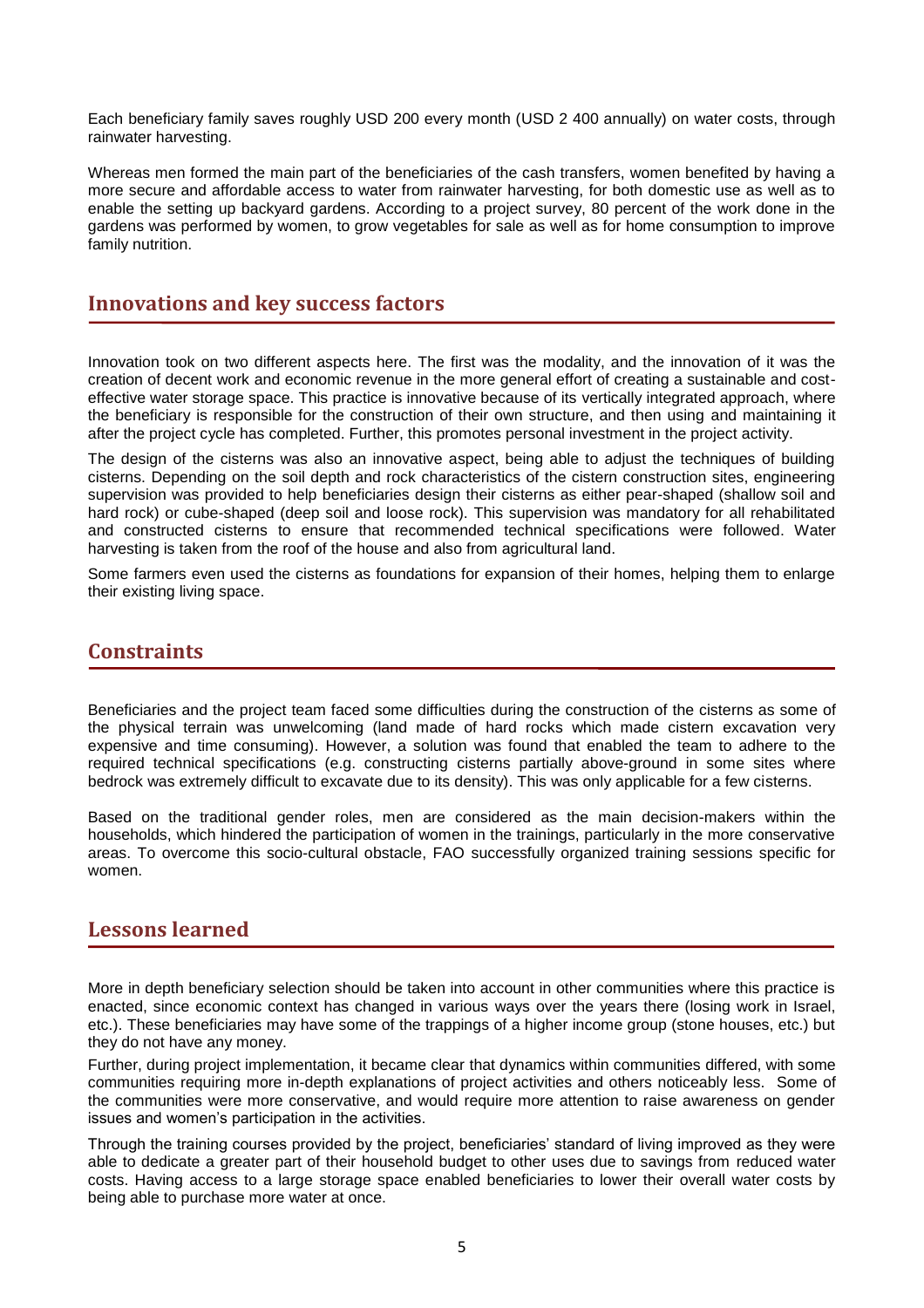Each beneficiary family saves roughly USD 200 every month (USD 2 400 annually) on water costs, through rainwater harvesting.

Whereas men formed the main part of the beneficiaries of the cash transfers, women benefited by having a more secure and affordable access to water from rainwater harvesting, for both domestic use as well as to enable the setting up backyard gardens. According to a project survey, 80 percent of the work done in the gardens was performed by women, to grow vegetables for sale as well as for home consumption to improve family nutrition.

#### **Innovations and key success factors**

Innovation took on two different aspects here. The first was the modality, and the innovation of it was the creation of decent work and economic revenue in the more general effort of creating a sustainable and costeffective water storage space. This practice is innovative because of its vertically integrated approach, where the beneficiary is responsible for the construction of their own structure, and then using and maintaining it after the project cycle has completed. Further, this promotes personal investment in the project activity.

The design of the cisterns was also an innovative aspect, being able to adjust the techniques of building cisterns. Depending on the soil depth and rock characteristics of the cistern construction sites, engineering supervision was provided to help beneficiaries design their cisterns as either pear-shaped (shallow soil and hard rock) or cube-shaped (deep soil and loose rock). This supervision was mandatory for all rehabilitated and constructed cisterns to ensure that recommended technical specifications were followed. Water harvesting is taken from the roof of the house and also from agricultural land.

Some farmers even used the cisterns as foundations for expansion of their homes, helping them to enlarge their existing living space.

### **Constraints**

Beneficiaries and the project team faced some difficulties during the construction of the cisterns as some of the physical terrain was unwelcoming (land made of hard rocks which made cistern excavation very expensive and time consuming). However, a solution was found that enabled the team to adhere to the required technical specifications (e.g. constructing cisterns partially above-ground in some sites where bedrock was extremely difficult to excavate due to its density). This was only applicable for a few cisterns.

Based on the traditional gender roles, men are considered as the main decision-makers within the households, which hindered the participation of women in the trainings, particularly in the more conservative areas. To overcome this socio-cultural obstacle, FAO successfully organized training sessions specific for women.

#### **Lessons learned**

More in depth beneficiary selection should be taken into account in other communities where this practice is enacted, since economic context has changed in various ways over the years there (losing work in Israel, etc.). These beneficiaries may have some of the trappings of a higher income group (stone houses, etc.) but they do not have any money.

Further, during project implementation, it became clear that dynamics within communities differed, with some communities requiring more in-depth explanations of project activities and others noticeably less. Some of the communities were more conservative, and would require more attention to raise awareness on gender issues and women's participation in the activities.

Through the training courses provided by the project, beneficiaries' standard of living improved as they were able to dedicate a greater part of their household budget to other uses due to savings from reduced water costs. Having access to a large storage space enabled beneficiaries to lower their overall water costs by being able to purchase more water at once.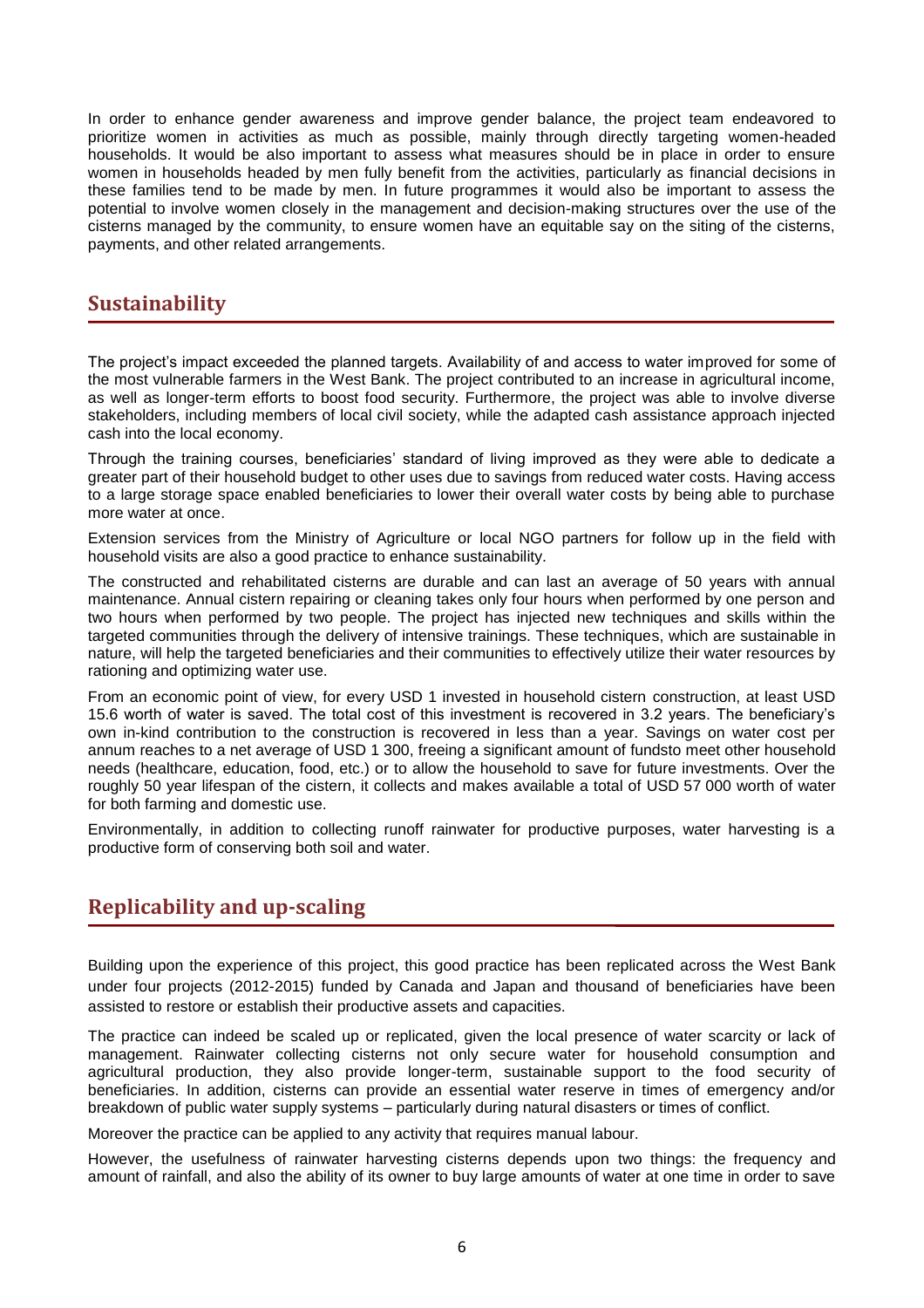In order to enhance gender awareness and improve gender balance, the project team endeavored to prioritize women in activities as much as possible, mainly through directly targeting women-headed households. It would be also important to assess what measures should be in place in order to ensure women in households headed by men fully benefit from the activities, particularly as financial decisions in these families tend to be made by men. In future programmes it would also be important to assess the potential to involve women closely in the management and decision-making structures over the use of the cisterns managed by the community, to ensure women have an equitable say on the siting of the cisterns, payments, and other related arrangements.

## **Sustainability**

The project's impact exceeded the planned targets. Availability of and access to water improved for some of the most vulnerable farmers in the West Bank. The project contributed to an increase in agricultural income, as well as longer-term efforts to boost food security. Furthermore, the project was able to involve diverse stakeholders, including members of local civil society, while the adapted cash assistance approach injected cash into the local economy.

Through the training courses, beneficiaries' standard of living improved as they were able to dedicate a greater part of their household budget to other uses due to savings from reduced water costs. Having access to a large storage space enabled beneficiaries to lower their overall water costs by being able to purchase more water at once.

Extension services from the Ministry of Agriculture or local NGO partners for follow up in the field with household visits are also a good practice to enhance sustainability.

The constructed and rehabilitated cisterns are durable and can last an average of 50 years with annual maintenance. Annual cistern repairing or cleaning takes only four hours when performed by one person and two hours when performed by two people. The project has injected new techniques and skills within the targeted communities through the delivery of intensive trainings. These techniques, which are sustainable in nature, will help the targeted beneficiaries and their communities to effectively utilize their water resources by rationing and optimizing water use.

From an economic point of view, for every USD 1 invested in household cistern construction, at least USD 15.6 worth of water is saved. The total cost of this investment is recovered in 3.2 years. The beneficiary's own in-kind contribution to the construction is recovered in less than a year. Savings on water cost per annum reaches to a net average of USD 1 300, freeing a significant amount of fundsto meet other household needs (healthcare, education, food, etc.) or to allow the household to save for future investments. Over the roughly 50 year lifespan of the cistern, it collects and makes available a total of USD 57 000 worth of water for both farming and domestic use.

Environmentally, in addition to collecting runoff rainwater for productive purposes, water harvesting is a productive form of conserving both soil and water.

# **Replicability and up-scaling**

Building upon the experience of this project, this good practice has been replicated across the West Bank under four projects (2012-2015) funded by Canada and Japan and thousand of beneficiaries have been assisted to restore or establish their productive assets and capacities.

The practice can indeed be scaled up or replicated, given the local presence of water scarcity or lack of management. Rainwater collecting cisterns not only secure water for household consumption and agricultural production, they also provide longer-term, sustainable support to the food security of beneficiaries. In addition, cisterns can provide an essential water reserve in times of emergency and/or breakdown of public water supply systems – particularly during natural disasters or times of conflict.

Moreover the practice can be applied to any activity that requires manual labour.

However, the usefulness of rainwater harvesting cisterns depends upon two things: the frequency and amount of rainfall, and also the ability of its owner to buy large amounts of water at one time in order to save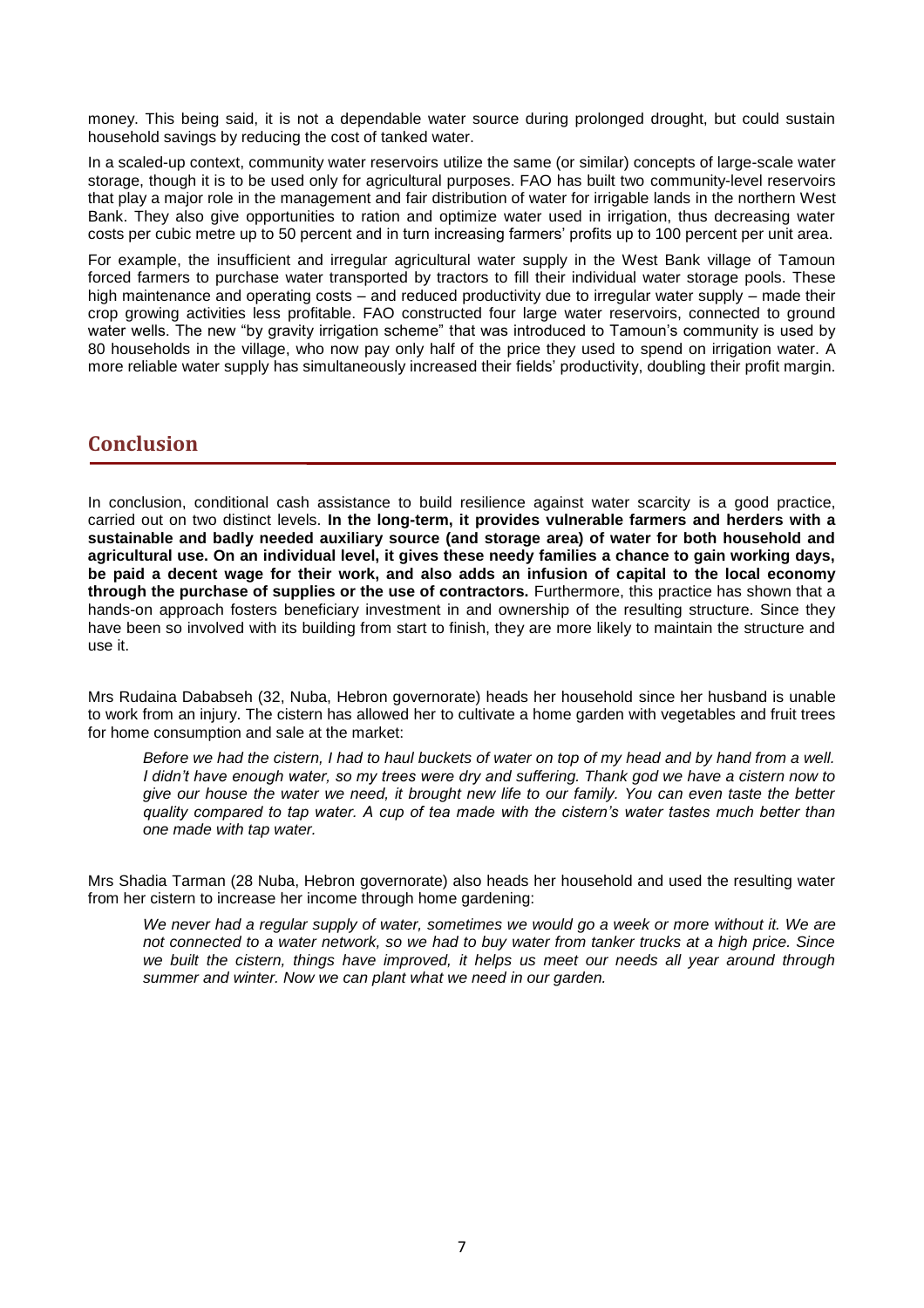money. This being said, it is not a dependable water source during prolonged drought, but could sustain household savings by reducing the cost of tanked water.

In a scaled-up context, community water reservoirs utilize the same (or similar) concepts of large-scale water storage, though it is to be used only for agricultural purposes. FAO has built two community-level reservoirs that play a major role in the management and fair distribution of water for irrigable lands in the northern West Bank. They also give opportunities to ration and optimize water used in irrigation, thus decreasing water costs per cubic metre up to 50 percent and in turn increasing farmers' profits up to 100 percent per unit area.

For example, the insufficient and irregular agricultural water supply in the West Bank village of Tamoun forced farmers to purchase water transported by tractors to fill their individual water storage pools. These high maintenance and operating costs – and reduced productivity due to irregular water supply – made their crop growing activities less profitable. FAO constructed four large water reservoirs, connected to ground water wells. The new "by gravity irrigation scheme" that was introduced to Tamoun's community is used by 80 households in the village, who now pay only half of the price they used to spend on irrigation water. A more reliable water supply has simultaneously increased their fields' productivity, doubling their profit margin.

# **Conclusion**

In conclusion, conditional cash assistance to build resilience against water scarcity is a good practice, carried out on two distinct levels. **In the long-term, it provides vulnerable farmers and herders with a sustainable and badly needed auxiliary source (and storage area) of water for both household and agricultural use. On an individual level, it gives these needy families a chance to gain working days, be paid a decent wage for their work, and also adds an infusion of capital to the local economy through the purchase of supplies or the use of contractors.** Furthermore, this practice has shown that a hands-on approach fosters beneficiary investment in and ownership of the resulting structure. Since they have been so involved with its building from start to finish, they are more likely to maintain the structure and use it.

Mrs Rudaina Dababseh (32, Nuba, Hebron governorate) heads her household since her husband is unable to work from an injury. The cistern has allowed her to cultivate a home garden with vegetables and fruit trees for home consumption and sale at the market:

*Before we had the cistern, I had to haul buckets of water on top of my head and by hand from a well. I didn't have enough water, so my trees were dry and suffering. Thank god we have a cistern now to give our house the water we need, it brought new life to our family. You can even taste the better quality compared to tap water. A cup of tea made with the cistern's water tastes much better than one made with tap water.* 

Mrs Shadia Tarman (28 Nuba, Hebron governorate) also heads her household and used the resulting water from her cistern to increase her income through home gardening:

*We never had a regular supply of water, sometimes we would go a week or more without it. We are not connected to a water network, so we had to buy water from tanker trucks at a high price. Since we built the cistern, things have improved, it helps us meet our needs all year around through summer and winter. Now we can plant what we need in our garden.*